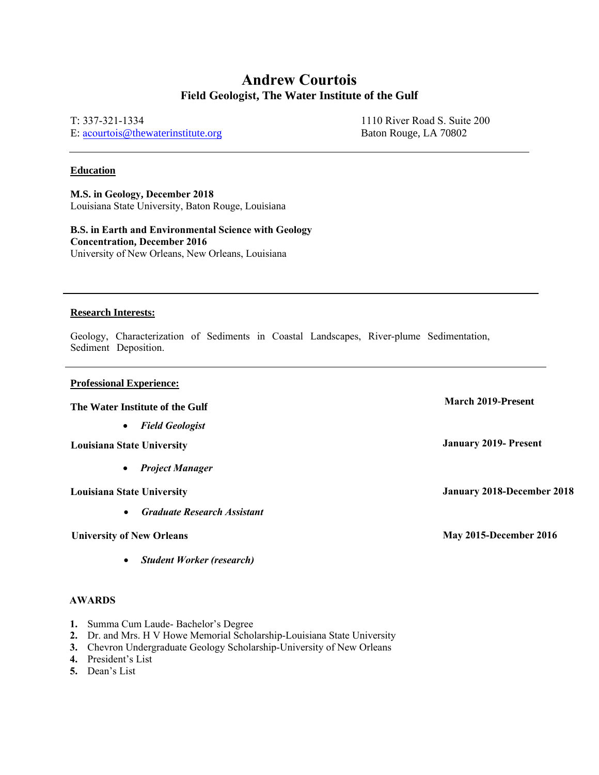## **Andrew Courtois Field Geologist, The Water Institute of the Gulf**

T: 337-321-1334 E: acourtois[@thewaterinstitute.org](mailto:shemmerling@thewaterinstitute.org)

1110 River Road S. Suite 200 Baton Rouge, LA 70802

### **Education**

**M.S. in Geology, December 2018** Louisiana State University, Baton Rouge, Louisiana

**B.S. in Earth and Environmental Science with Geology Concentration, December 2016** University of New Orleans, New Orleans, Louisiana

### **Research Interests:**

Geology, Characterization of Sediments in Coastal Landscapes, River-plume Sedimentation, Sediment Deposition.

### **Professional Experience:**

# **The Water Institute of the Gulf March 2019-Present**

• *Field Geologist*

**Louisiana State University January 2019- Present**

• *Project Manager*

• *Graduate Research Assistant*

• *Student Worker (research)*

### **AWARDS**

- **1.** Summa Cum Laude- Bachelor's Degree
- **2.** Dr. and Mrs. H V Howe Memorial Scholarship-Louisiana State University
- **3.** Chevron Undergraduate Geology Scholarship-University of New Orleans
- **4.** President's List
- **5.** Dean's List

**Louisiana State University January 2018-December 2018**

**University of New Orleans May 2015-December 2016**